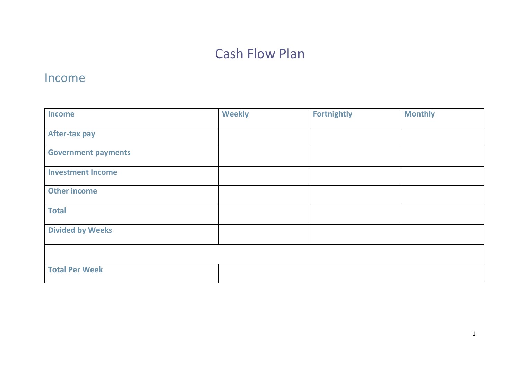# Cash Flow Plan

## Income

| <b>Income</b>              | <b>Weekly</b> | <b>Fortnightly</b> | <b>Monthly</b> |
|----------------------------|---------------|--------------------|----------------|
| <b>After-tax pay</b>       |               |                    |                |
| <b>Government payments</b> |               |                    |                |
| <b>Investment Income</b>   |               |                    |                |
| <b>Other income</b>        |               |                    |                |
| <b>Total</b>               |               |                    |                |
| <b>Divided by Weeks</b>    |               |                    |                |
|                            |               |                    |                |
| <b>Total Per Week</b>      |               |                    |                |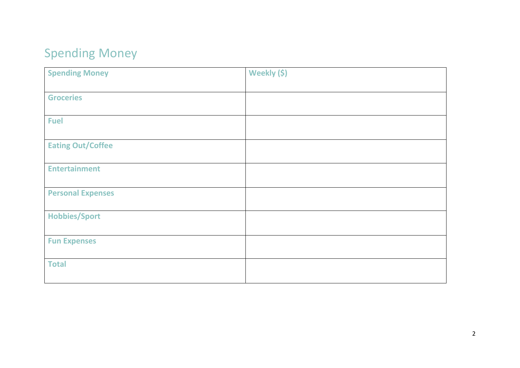# Spending Money

| <b>Spending Money</b>    | Weekly (\$) |
|--------------------------|-------------|
|                          |             |
| <b>Groceries</b>         |             |
|                          |             |
| <b>Fuel</b>              |             |
|                          |             |
| <b>Eating Out/Coffee</b> |             |
|                          |             |
| <b>Entertainment</b>     |             |
|                          |             |
| <b>Personal Expenses</b> |             |
|                          |             |
| <b>Hobbies/Sport</b>     |             |
|                          |             |
| <b>Fun Expenses</b>      |             |
|                          |             |
| <b>Total</b>             |             |
|                          |             |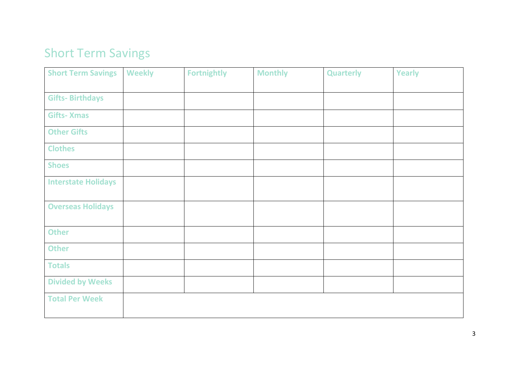# Short Term Savings

| <b>Short Term Savings</b>  | <b>Weekly</b> | <b>Fortnightly</b> | <b>Monthly</b> | <b>Quarterly</b> | Yearly |
|----------------------------|---------------|--------------------|----------------|------------------|--------|
|                            |               |                    |                |                  |        |
| <b>Gifts-Birthdays</b>     |               |                    |                |                  |        |
| <b>Gifts-Xmas</b>          |               |                    |                |                  |        |
| <b>Other Gifts</b>         |               |                    |                |                  |        |
| <b>Clothes</b>             |               |                    |                |                  |        |
| <b>Shoes</b>               |               |                    |                |                  |        |
| <b>Interstate Holidays</b> |               |                    |                |                  |        |
| <b>Overseas Holidays</b>   |               |                    |                |                  |        |
| <b>Other</b>               |               |                    |                |                  |        |
| <b>Other</b>               |               |                    |                |                  |        |
| <b>Totals</b>              |               |                    |                |                  |        |
| <b>Divided by Weeks</b>    |               |                    |                |                  |        |
| <b>Total Per Week</b>      |               |                    |                |                  |        |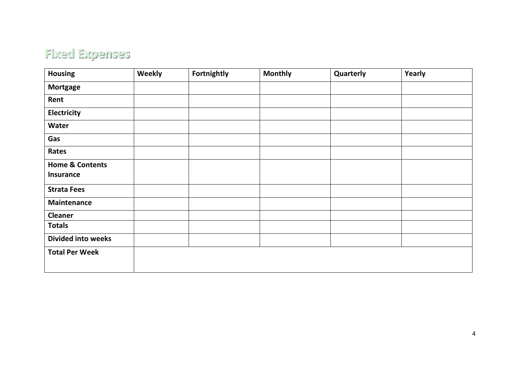## **Fixed Expenses**

| <b>Housing</b>             | Weekly | Fortnightly | <b>Monthly</b> | Quarterly | Yearly |
|----------------------------|--------|-------------|----------------|-----------|--------|
| <b>Mortgage</b>            |        |             |                |           |        |
| Rent                       |        |             |                |           |        |
| <b>Electricity</b>         |        |             |                |           |        |
| <b>Water</b>               |        |             |                |           |        |
| Gas                        |        |             |                |           |        |
| Rates                      |        |             |                |           |        |
| <b>Home &amp; Contents</b> |        |             |                |           |        |
| <b>Insurance</b>           |        |             |                |           |        |
| <b>Strata Fees</b>         |        |             |                |           |        |
| <b>Maintenance</b>         |        |             |                |           |        |
| <b>Cleaner</b>             |        |             |                |           |        |
| <b>Totals</b>              |        |             |                |           |        |
| <b>Divided into weeks</b>  |        |             |                |           |        |
| <b>Total Per Week</b>      |        |             |                |           |        |
|                            |        |             |                |           |        |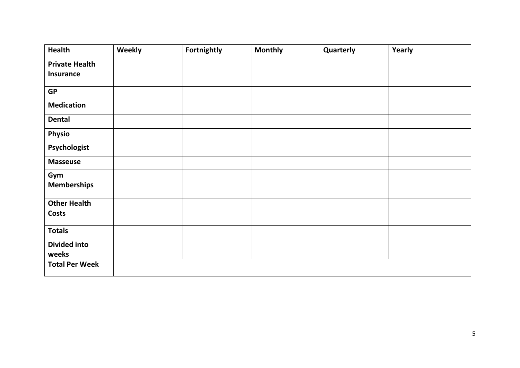| <b>Health</b>         | Weekly | Fortnightly | <b>Monthly</b> | Quarterly | Yearly |
|-----------------------|--------|-------------|----------------|-----------|--------|
| <b>Private Health</b> |        |             |                |           |        |
| <b>Insurance</b>      |        |             |                |           |        |
| <b>GP</b>             |        |             |                |           |        |
| <b>Medication</b>     |        |             |                |           |        |
| <b>Dental</b>         |        |             |                |           |        |
| <b>Physio</b>         |        |             |                |           |        |
| Psychologist          |        |             |                |           |        |
| <b>Masseuse</b>       |        |             |                |           |        |
| Gym                   |        |             |                |           |        |
| <b>Memberships</b>    |        |             |                |           |        |
| <b>Other Health</b>   |        |             |                |           |        |
| <b>Costs</b>          |        |             |                |           |        |
| <b>Totals</b>         |        |             |                |           |        |
| <b>Divided into</b>   |        |             |                |           |        |
| weeks                 |        |             |                |           |        |
| <b>Total Per Week</b> |        |             |                |           |        |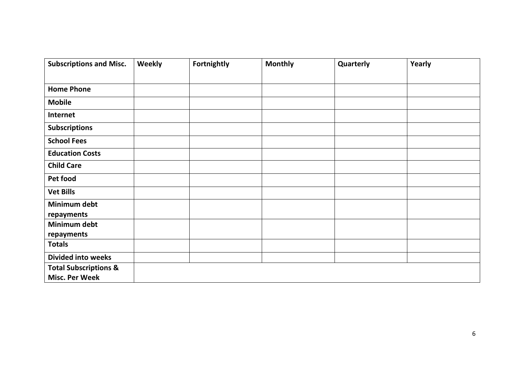| <b>Subscriptions and Misc.</b>                            | Weekly | Fortnightly | <b>Monthly</b> | Quarterly | Yearly |
|-----------------------------------------------------------|--------|-------------|----------------|-----------|--------|
|                                                           |        |             |                |           |        |
| <b>Home Phone</b>                                         |        |             |                |           |        |
| <b>Mobile</b>                                             |        |             |                |           |        |
| Internet                                                  |        |             |                |           |        |
| <b>Subscriptions</b>                                      |        |             |                |           |        |
| <b>School Fees</b>                                        |        |             |                |           |        |
| <b>Education Costs</b>                                    |        |             |                |           |        |
| <b>Child Care</b>                                         |        |             |                |           |        |
| Pet food                                                  |        |             |                |           |        |
| <b>Vet Bills</b>                                          |        |             |                |           |        |
| Minimum debt<br>repayments                                |        |             |                |           |        |
| Minimum debt<br>repayments                                |        |             |                |           |        |
| <b>Totals</b>                                             |        |             |                |           |        |
| <b>Divided into weeks</b>                                 |        |             |                |           |        |
| <b>Total Subscriptions &amp;</b><br><b>Misc. Per Week</b> |        |             |                |           |        |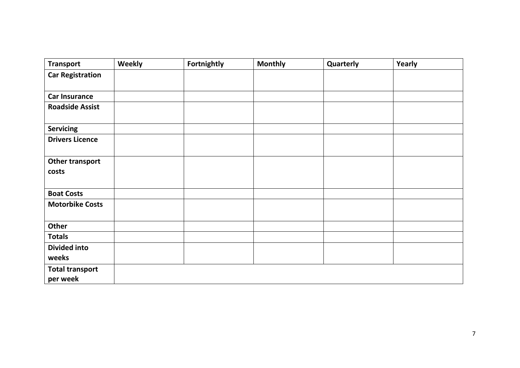| <b>Transport</b>                   | Weekly | Fortnightly | <b>Monthly</b> | Quarterly | Yearly |
|------------------------------------|--------|-------------|----------------|-----------|--------|
| <b>Car Registration</b>            |        |             |                |           |        |
| <b>Car Insurance</b>               |        |             |                |           |        |
| <b>Roadside Assist</b>             |        |             |                |           |        |
| <b>Servicing</b>                   |        |             |                |           |        |
| <b>Drivers Licence</b>             |        |             |                |           |        |
| Other transport<br>costs           |        |             |                |           |        |
| <b>Boat Costs</b>                  |        |             |                |           |        |
| <b>Motorbike Costs</b>             |        |             |                |           |        |
| Other                              |        |             |                |           |        |
| <b>Totals</b>                      |        |             |                |           |        |
| <b>Divided into</b><br>weeks       |        |             |                |           |        |
| <b>Total transport</b><br>per week |        |             |                |           |        |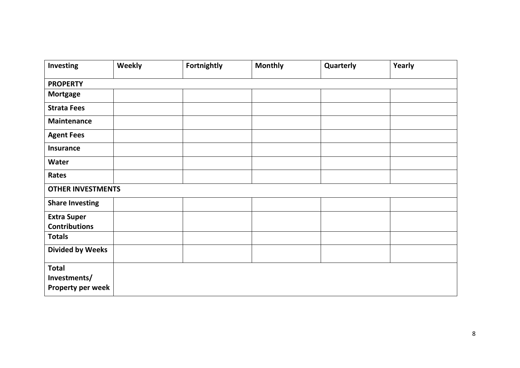| <b>Investing</b>                                  | <b>Weekly</b>            | Fortnightly | <b>Monthly</b> | Quarterly | Yearly |  |
|---------------------------------------------------|--------------------------|-------------|----------------|-----------|--------|--|
| <b>PROPERTY</b>                                   |                          |             |                |           |        |  |
| <b>Mortgage</b>                                   |                          |             |                |           |        |  |
| <b>Strata Fees</b>                                |                          |             |                |           |        |  |
| <b>Maintenance</b>                                |                          |             |                |           |        |  |
| <b>Agent Fees</b>                                 |                          |             |                |           |        |  |
| <b>Insurance</b>                                  |                          |             |                |           |        |  |
| Water                                             |                          |             |                |           |        |  |
| Rates                                             |                          |             |                |           |        |  |
|                                                   | <b>OTHER INVESTMENTS</b> |             |                |           |        |  |
| <b>Share Investing</b>                            |                          |             |                |           |        |  |
| <b>Extra Super</b><br><b>Contributions</b>        |                          |             |                |           |        |  |
| <b>Totals</b>                                     |                          |             |                |           |        |  |
| <b>Divided by Weeks</b>                           |                          |             |                |           |        |  |
| <b>Total</b><br>Investments/<br>Property per week |                          |             |                |           |        |  |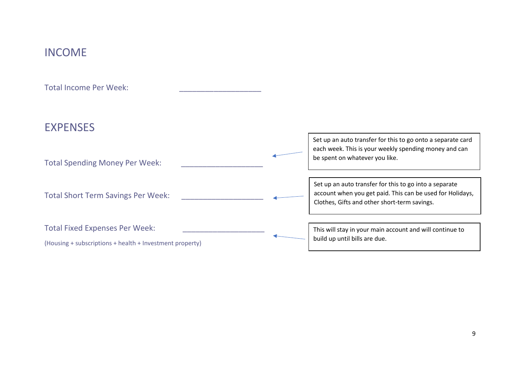## INCOME

Total Income Per Week:

## EXPENSES

| <b>Total Spending Money Per Week:</b>                                                             | Set up an auto transfer for this to go onto a separate card<br>each week. This is your weekly spending money and can<br>be spent on whatever you like.              |
|---------------------------------------------------------------------------------------------------|---------------------------------------------------------------------------------------------------------------------------------------------------------------------|
| <b>Total Short Term Savings Per Week:</b>                                                         | Set up an auto transfer for this to go into a separate<br>account when you get paid. This can be used for Holidays,<br>Clothes, Gifts and other short-term savings. |
| <b>Total Fixed Expenses Per Week:</b><br>(Housing + subscriptions + health + Investment property) | This will stay in your main account and will continue to<br>build up until bills are due.                                                                           |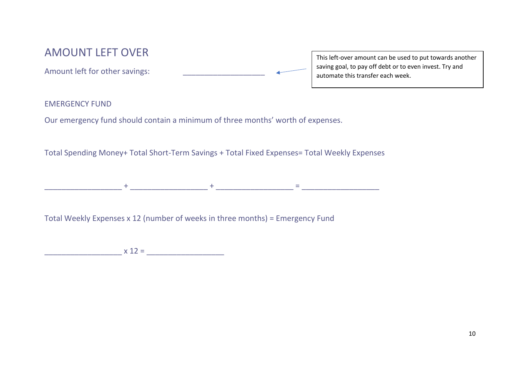## AMOUNT LEFT OVER

Amount left for other savings:

This left-over amount can be used to put towards another saving goal, to pay off debt or to even invest. Try and automate this transfer each week.

#### EMERGENCY FUND

Our emergency fund should contain a minimum of three months' worth of expenses.

Total Spending Money+ Total Short-Term Savings + Total Fixed Expenses= Total Weekly Expenses

\_\_\_\_\_\_\_\_\_\_\_\_\_\_\_\_\_\_ + \_\_\_\_\_\_\_\_\_\_\_\_\_\_\_\_\_\_ + \_\_\_\_\_\_\_\_\_\_\_\_\_\_\_\_\_\_ = \_\_\_\_\_\_\_\_\_\_\_\_\_\_\_\_\_\_

Total Weekly Expenses x 12 (number of weeks in three months) = Emergency Fund

 $x 12 = \_$